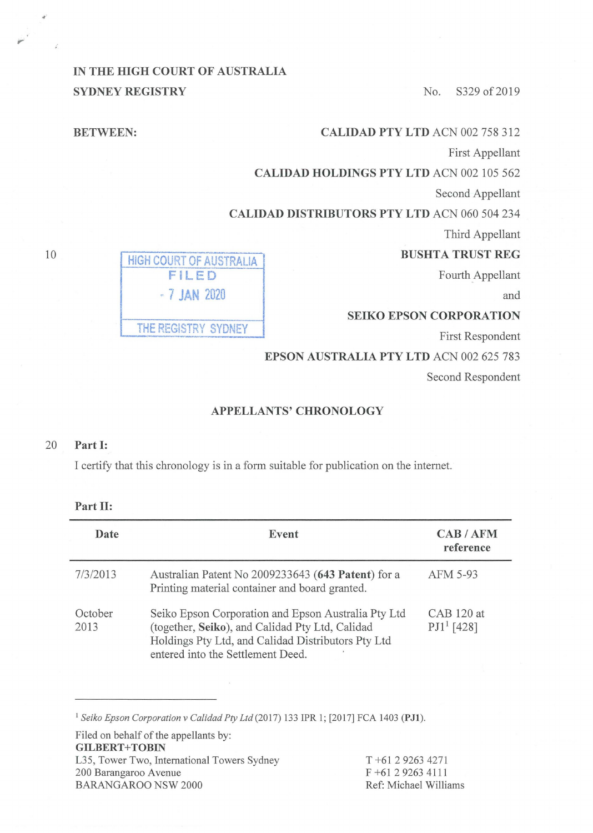## **IN THE HIGH COURT OF AUSTRALIA SYDNEY REGISTRY** No. S329 of 2019

| <b>CALIDAD PTY LTD ACN 002 758 312</b>              | <b>BETWEEN:</b>         |
|-----------------------------------------------------|-------------------------|
| First Appellant                                     |                         |
| <b>CALIDAD HOLDINGS PTY LTD ACN 002 105 562</b>     |                         |
| Second Appellant                                    |                         |
| <b>CALIDAD DISTRIBUTORS PTY LTD ACN 060 504 234</b> |                         |
| Third Appellant                                     |                         |
| <b>BUSHTA TRUST REG</b>                             | HIGH COURT OF AUSTRALIA |
| Fourth Appellant                                    | FILED                   |
| and                                                 | $-7$ JAN 2020           |
| <b>SEIKO EPSON CORPORATION</b>                      |                         |
| First Respondent                                    | THE REGISTRY SYDNEY     |
| <b>EPSON AUSTRALIA PTY LTD ACN 002 625 783</b>      |                         |
| Second Respondent                                   |                         |
|                                                     |                         |

## **APPELLANTS'CHRONOLOGY**

## 20 **Part** I:

I certify that this chronology is in a form suitable for publication on the internet.

| Date            | Event                                                                                                                                                                                             | CAB/AFM<br>reference          |
|-----------------|---------------------------------------------------------------------------------------------------------------------------------------------------------------------------------------------------|-------------------------------|
| 7/3/2013        | Australian Patent No 2009233643 (643 Patent) for a<br>Printing material container and board granted.                                                                                              | AFM 5-93                      |
| October<br>2013 | Seiko Epson Corporation and Epson Australia Pty Ltd<br>(together, Seiko), and Calidad Pty Ltd, Calidad<br>Holdings Pty Ltd, and Calidad Distributors Pty Ltd<br>entered into the Settlement Deed. | $CAB 120$ at<br>$PJ1^1$ [428] |

<sup>1</sup>*Seiko Epson Corporation v Calidad Pty Ltd* (2017) 133 IPR l; [2017] FCA 1403 **(PJl).** 

Filed on behalf of the appellants by: **GILBERT+TOBIN**  L35, Tower Two, International Towers Sydney 200 Barangaroo Avenue BARANGAROO NSW 2000 Ref: Michael Williams

T +61 2 9263 4271 F +61 2 9263 4111

10

..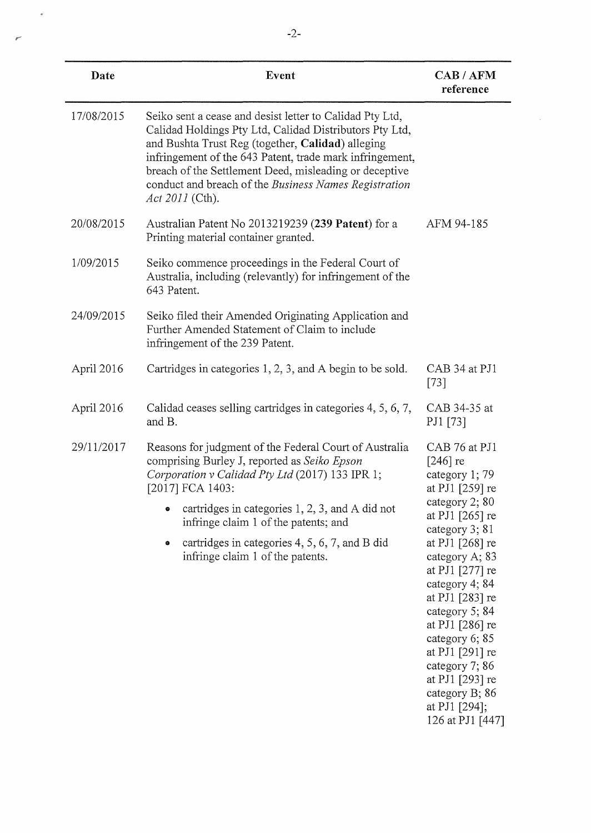| Date       | Event                                                                                                                                                                                                                                                                                                                                                                             | CAB / AFM<br>reference                                                                                                                                                                                                                                                                                                                                                                       |
|------------|-----------------------------------------------------------------------------------------------------------------------------------------------------------------------------------------------------------------------------------------------------------------------------------------------------------------------------------------------------------------------------------|----------------------------------------------------------------------------------------------------------------------------------------------------------------------------------------------------------------------------------------------------------------------------------------------------------------------------------------------------------------------------------------------|
| 17/08/2015 | Seiko sent a cease and desist letter to Calidad Pty Ltd,<br>Calidad Holdings Pty Ltd, Calidad Distributors Pty Ltd,<br>and Bushta Trust Reg (together, Calidad) alleging<br>infringement of the 643 Patent, trade mark infringement,<br>breach of the Settlement Deed, misleading or deceptive<br>conduct and breach of the Business Names Registration<br><i>Act 2011</i> (Cth). |                                                                                                                                                                                                                                                                                                                                                                                              |
| 20/08/2015 | Australian Patent No 2013219239 (239 Patent) for a<br>Printing material container granted.                                                                                                                                                                                                                                                                                        | AFM 94-185                                                                                                                                                                                                                                                                                                                                                                                   |
| 1/09/2015  | Seiko commence proceedings in the Federal Court of<br>Australia, including (relevantly) for infringement of the<br>643 Patent.                                                                                                                                                                                                                                                    |                                                                                                                                                                                                                                                                                                                                                                                              |
| 24/09/2015 | Seiko filed their Amended Originating Application and<br>Further Amended Statement of Claim to include<br>infringement of the 239 Patent.                                                                                                                                                                                                                                         |                                                                                                                                                                                                                                                                                                                                                                                              |
| April 2016 | Cartridges in categories 1, 2, 3, and A begin to be sold.                                                                                                                                                                                                                                                                                                                         | CAB 34 at PJ1<br>$[73]$                                                                                                                                                                                                                                                                                                                                                                      |
| April 2016 | Calidad ceases selling cartridges in categories 4, 5, 6, 7,<br>and B.                                                                                                                                                                                                                                                                                                             | CAB 34-35 at<br>PJ1 [73]                                                                                                                                                                                                                                                                                                                                                                     |
| 29/11/2017 | Reasons for judgment of the Federal Court of Australia<br>comprising Burley J, reported as Seiko Epson<br>Corporation v Calidad Pty Ltd (2017) 133 IPR 1;<br>[2017] FCA 1403:<br>$\bullet$ cartridges in categories 1, 2, 3, and A did not<br>infringe claim 1 of the patents; and<br>cartridges in categories 4, 5, 6, 7, and B did<br>۰<br>infringe claim 1 of the patents.     | CAB 76 at PJ1<br>$[246]$ re<br>category 1; 79<br>at PJ1 [259] re<br>category 2; 80<br>at PJ1 $[265]$ re<br>category 3; 81<br>at PJ1 [268] re<br>category A; 83<br>at PJ1 [277] re<br>category 4; 84<br>at PJ1 [283] re<br>category 5; 84<br>at PJ1 [286] re<br>category 6; 85<br>at PJ1 [291] re<br>category 7; 86<br>at PJ1 [293] re<br>category B; 86<br>at PJ1 [294];<br>126 at PJ1 [447] |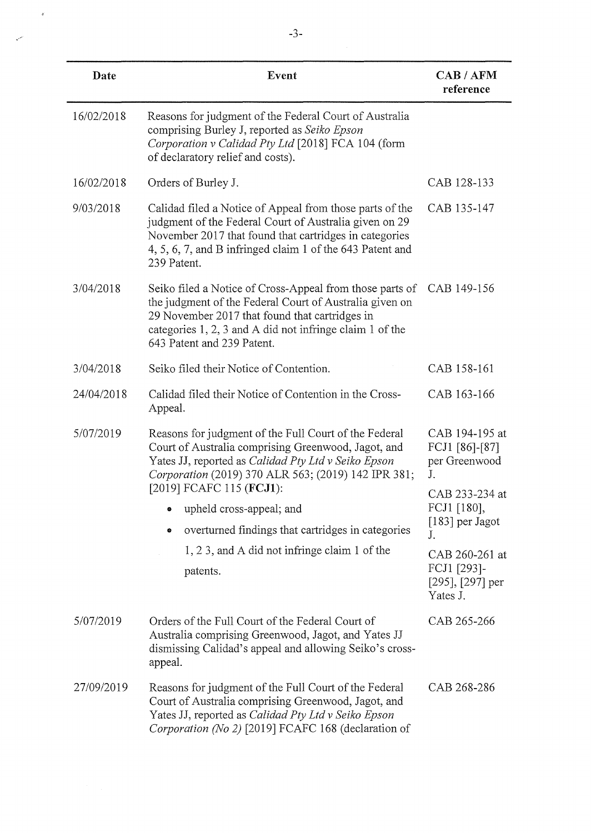| Date       | Event                                                                                                                                                                                                                                                           | CAB / AFM<br>reference                                  |
|------------|-----------------------------------------------------------------------------------------------------------------------------------------------------------------------------------------------------------------------------------------------------------------|---------------------------------------------------------|
| 16/02/2018 | Reasons for judgment of the Federal Court of Australia<br>comprising Burley J, reported as Seiko Epson<br>Corporation v Calidad Pty Ltd [2018] FCA 104 (form<br>of declaratory relief and costs).                                                               |                                                         |
| 16/02/2018 | Orders of Burley J.                                                                                                                                                                                                                                             | CAB 128-133                                             |
| 9/03/2018  | Calidad filed a Notice of Appeal from those parts of the<br>judgment of the Federal Court of Australia given on 29<br>November 2017 that found that cartridges in categories<br>4, 5, 6, 7, and B infringed claim 1 of the 643 Patent and<br>239 Patent.        | CAB 135-147                                             |
| 3/04/2018  | Seiko filed a Notice of Cross-Appeal from those parts of<br>the judgment of the Federal Court of Australia given on<br>29 November 2017 that found that cartridges in<br>categories 1, 2, 3 and A did not infringe claim 1 of the<br>643 Patent and 239 Patent. | CAB 149-156                                             |
| 3/04/2018  | Seiko filed their Notice of Contention.                                                                                                                                                                                                                         | CAB 158-161                                             |
| 24/04/2018 | Calidad filed their Notice of Contention in the Cross-<br>Appeal.                                                                                                                                                                                               | CAB 163-166                                             |
| 5/07/2019  | Reasons for judgment of the Full Court of the Federal<br>Court of Australia comprising Greenwood, Jagot, and<br>Yates JJ, reported as Calidad Pty Ltd v Seiko Epson<br>Corporation (2019) 370 ALR 563; (2019) 142 IPR 381;                                      | CAB 194-195 at<br>FCJ1 [86]-[87]<br>per Greenwood<br>J. |
|            | [2019] FCAFC 115 ( <b>FCJ1</b> ):<br>upheld cross-appeal; and<br>۰                                                                                                                                                                                              | CAB 233-234 at<br>FCJ1 [180],                           |
|            | overturned findings that cartridges in categories<br>۰                                                                                                                                                                                                          | $[183]$ per Jagot<br>J.                                 |
|            | 1, 2 3, and A did not infringe claim 1 of the                                                                                                                                                                                                                   | CAB 260-261 at                                          |
| patents.   |                                                                                                                                                                                                                                                                 | FCJ1 [293]-<br>$[295]$ , $[297]$ per<br>Yates J.        |
| 5/07/2019  | Orders of the Full Court of the Federal Court of<br>Australia comprising Greenwood, Jagot, and Yates JJ<br>dismissing Calidad's appeal and allowing Seiko's cross-<br>appeal.                                                                                   | CAB 265-266                                             |
| 27/09/2019 | Reasons for judgment of the Full Court of the Federal<br>Court of Australia comprising Greenwood, Jagot, and<br>Yates JJ, reported as Calidad Pty Ltd v Seiko Epson<br>Corporation (No 2) [2019] FCAFC 168 (declaration of                                      | CAB 268-286                                             |

 $\mathbf{v}$